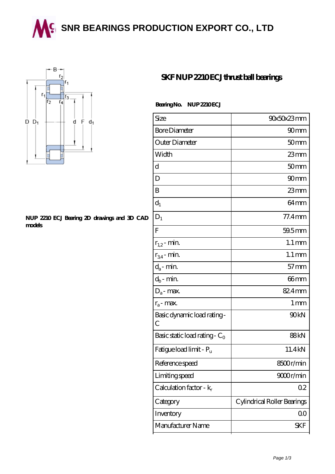**SING BEARINGS PRODUCTION EXPORT CO., LTD** 



## **[NUP 2210 ECJ Bearing 2D drawings and 3D CAD](https://wqgit.com/pic-145267.html) [models](https://wqgit.com/pic-145267.html)**

## **[SKF NUP 2210 ECJ thrust ball bearings](https://wqgit.com/az-145267-skf-nup-2210-ecj-thrust-ball-bearings.html)**

Bearing No. NUP 2210 ECJ

| Size                             | 90x50x23mm                  |
|----------------------------------|-----------------------------|
| <b>Bore Diameter</b>             | 90 <sub>mm</sub>            |
| Outer Diameter                   | 50 <sub>mm</sub>            |
| Width                            | 23mm                        |
| d                                | 50 <sub>mm</sub>            |
| D                                | 90 <sub>mm</sub>            |
| B                                | $23$ mm                     |
| $d_1$                            | 64 <sub>mm</sub>            |
| $D_1$                            | $77.4$ mm                   |
| F                                | 59.5mm                      |
| $r_{1,2}$ - min.                 | $1.1 \,\mathrm{mm}$         |
| $r_{34}$ - min.                  | $1.1 \,\mathrm{mm}$         |
| $d_a$ - min.                     | $57$ mm                     |
| $d_b$ - min.                     | 66mm                        |
| $D_a$ - max.                     | 82.4mm                      |
| $r_a$ - max.                     | 1 <sub>mm</sub>             |
| Basic dynamic load rating-<br>С  | 90kN                        |
| Basic static load rating - $C_0$ | 88kN                        |
| Fatigue load limit - Pu          | 11.4kN                      |
| Reference speed                  | 8500r/min                   |
| Limiting speed                   | 9000r/min                   |
| Calculation factor - $k_r$       | 02                          |
| Category                         | Cylindrical Roller Bearings |
| Inventory                        | 0 <sub>0</sub>              |
| Manufacturer Name                | SKF                         |
|                                  |                             |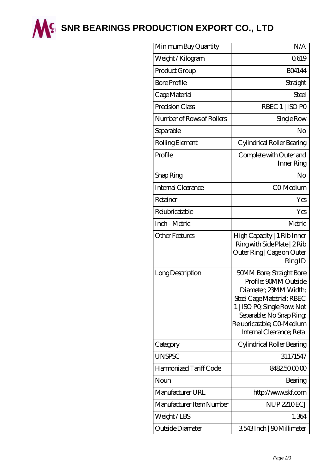

**M<sup>C</sup> [SNR BEARINGS PRODUCTION EXPORT CO., LTD](https://wqgit.com)** 

| Minimum Buy Quantity      | N/A                                                                                                                                                                                                                          |
|---------------------------|------------------------------------------------------------------------------------------------------------------------------------------------------------------------------------------------------------------------------|
| Weight / Kilogram         | Q619                                                                                                                                                                                                                         |
| Product Group             | <b>BO4144</b>                                                                                                                                                                                                                |
| <b>Bore Profile</b>       | Straight                                                                                                                                                                                                                     |
| Cage Material             | Steel                                                                                                                                                                                                                        |
| Precision Class           | RBEC 1   ISO PO                                                                                                                                                                                                              |
| Number of Rows of Rollers | Single Row                                                                                                                                                                                                                   |
| Separable                 | No                                                                                                                                                                                                                           |
| Rolling Element           | Cylindrical Roller Bearing                                                                                                                                                                                                   |
| Profile                   | Complete with Outer and<br>Inner Ring                                                                                                                                                                                        |
| Snap Ring                 | No                                                                                                                                                                                                                           |
| Internal Clearance        | CO-Medium                                                                                                                                                                                                                    |
| Retainer                  | Yes                                                                                                                                                                                                                          |
| Relubricatable            | Yes                                                                                                                                                                                                                          |
| Inch - Metric             | Metric                                                                                                                                                                                                                       |
| Other Features            | High Capacity   1 Rib Inner<br>Ring with Side Plate   2 Rib<br>Outer Ring   Cage on Outer<br>RingID                                                                                                                          |
| Long Description          | 50MM Bore; Straight Bore<br>Profile; 90MM Outside<br>Diameter, 23MM Width;<br>Steel Cage Matetrial; RBEC<br>1   ISO PO, Single Row, Not<br>Separable; No Snap Ring<br>Relubricatable; CO-Medium<br>Internal Clearance; Retai |
| Category                  | Cylindrical Roller Bearing                                                                                                                                                                                                   |
| <b>UNSPSC</b>             | 31171547                                                                                                                                                                                                                     |
| Harmonized Tariff Code    | 8482500000                                                                                                                                                                                                                   |
| Noun                      | Bearing                                                                                                                                                                                                                      |
| Manufacturer URL          | http://www.skf.com                                                                                                                                                                                                           |
| Manufacturer Item Number  | <b>NUP 2210ECJ</b>                                                                                                                                                                                                           |
| Weight/LBS                | 1.364                                                                                                                                                                                                                        |
| Outside Diameter          | 3543Inch   90Millimeter                                                                                                                                                                                                      |